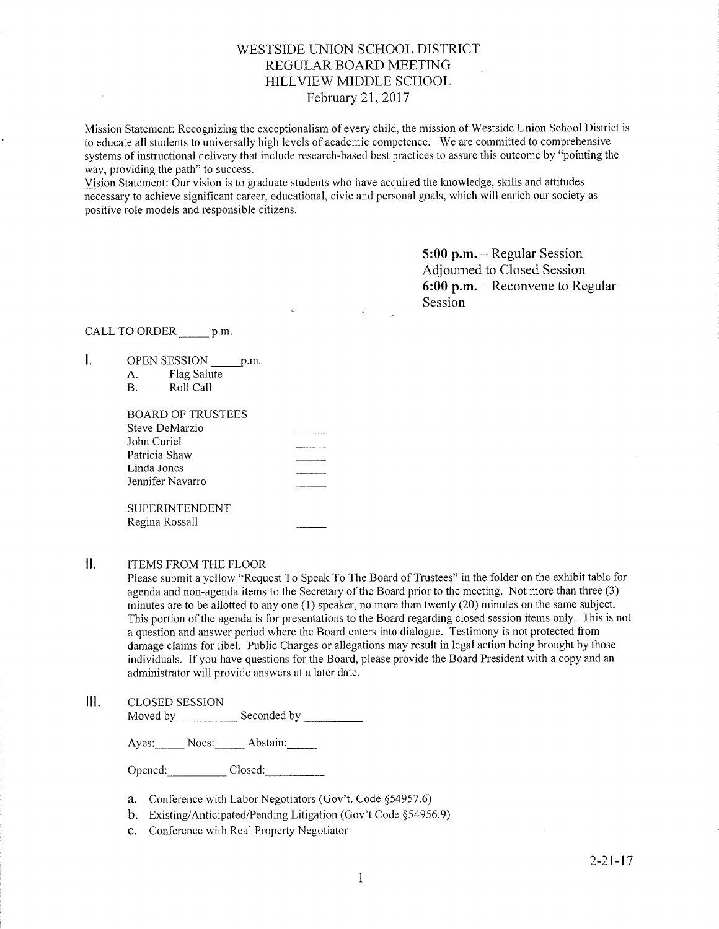# WESTSIDE UNION SCHOOL DISTRICT REGULAR BOARD MEETING HILLVIEW MIDDLE SCHOOL February 2I,2017

Mission Statement: Recognizing the exceptionalism of every child, the mission of Westside Union School District is to educate all students to universally high levels of academic competence. We are committed to comprehensive systems of instructional delivery that include research-based best practices to assure this outcome by "pointing the way, providing the path" to success.

Vision Statement: Our vision is to graduate students who have acquired the knowledge, skills and attitudes necessary to achieve signihcant career, educational, civic and personal goals, which will enrich our society as positive role models and responsible citizens.

> 5:00 p.m. - Regular Session Adjourned to Closed Session 6:00 p.m. - Reconvene to Regular Session

CALL TO ORDER \_\_\_\_\_\_ p.m.

- L. OPEN SESSION \_\_\_\_\_ p.m.
	- A. Flag Salute<br>B. Roll Call

| BOARD OF TRUSTEES |  |
|-------------------|--|
| Steve DeMarzio    |  |
| John Curiel       |  |
| Patricia Shaw     |  |
| Linda Jones       |  |
| Jennifer Navarro  |  |
|                   |  |
| SUPERINTENDENT    |  |
| Regina Rossall    |  |
|                   |  |

# II. ITEMS FROM THE FLOOR

Please submit a yellow "Request To Speak To The Board of Trustees" in the folder on the exhibit table for agenda and non-agenda items to the Secretary of the Board prior to the meeting. Not more than three (3) minutes are to be allotted to any one (1) speaker, no more than twenty (20) minutes on the same subject. This portion of the agenda is for presentations to the Board regarding closed session items only. This is not a question and answer period where the Board enters into dialogue. Testimony is not protected from damage claims for libel. Public Charges or allegations may result in legal action being brought by those individuals. If you have questions for the Board, please provide the Board President with a copy and an administrator will provide answers at a later date.

#### $III.$ CLOSED SESSION

Moved by \_\_\_\_\_\_\_\_\_\_\_\_\_ Seconded by

Ayes: Noes: Abstain:

Opened: Closed:

- a. Conference with Labor Negotiators (Gov't. Code \$54957.6)
- b. Existing/Anticipated/Pending Litigation (Gov't Code \$54956.9)
- c. Conference with Real Property Negotiator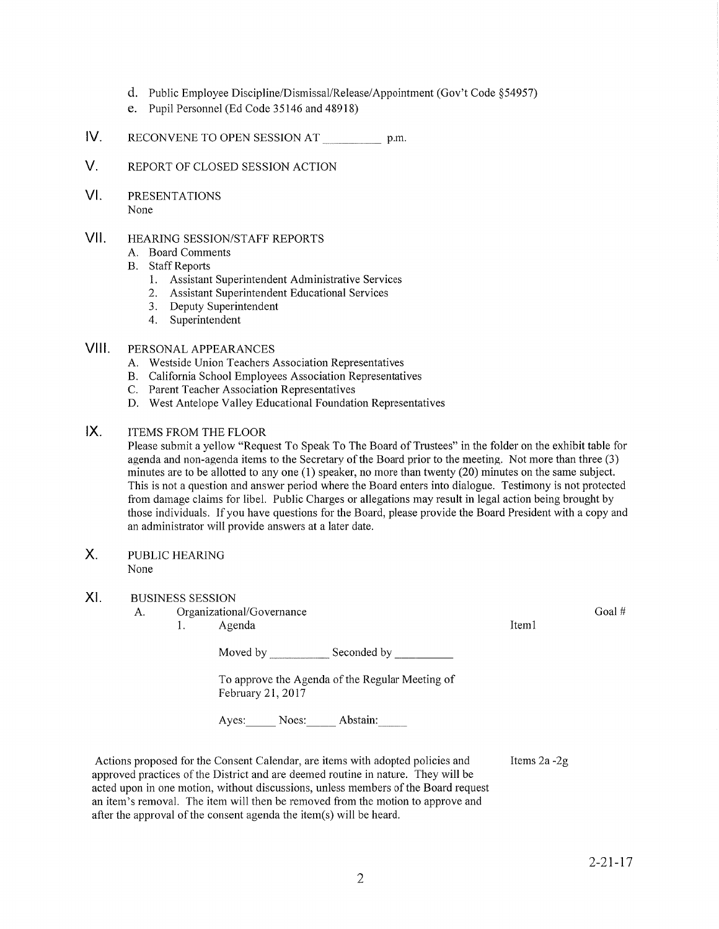- d. Public Employee Discipline/Dismissal/Release/Appointment (Gov't Code \$54957)
- e. Pupil Personnel (Ed Code 35146 and 48918)
- IV RECONVENE TO OPEN SESSION AT p.m.
- V. REPORT OF CLOSED SESSION ACTION
- VI PRESENTATIONS None

#### vil HEARING SESSION/STAFF REPORTS

- A. Board Comments
- B. Staff Reports
	- 1. Assistant Superintendent Administrative Services
	- 2. Assistant Superintendent Educational Services
	- 3. Deputy Superintendent
	- 4. Superintendent

# Vlll. PERSoNALAPPEARANCES

- A. Westside Union Teachers Association Representatives
- B. California School Employees Association Representatives C. Parent Teacher Association Representatives
- 
- D. West Antelope Valley Educational Foundation Representatives

#### $IX.$ ITEMS FROM THE FLOOR

Please submit a yellow "Request To Speak To The Board of Trustees" in the folder on the exhibit table for agenda and non-agenda items to the Secretary of the Board prior to the meeting. Not more than three (3) minutes are to be allotted to any one (l) speaker, no more than twenty (20) minutes on the same subject. This is not a question and answer period where the Board enters into dialogue. Testimony is not protected ffom damage claims for libel. Public Charges or allegations may result in legal action being brought by those individuals. If you have questions for the Board, please provide the Board President with a copy and an administrator will provide answers at a later date.

### PUBLIC HEARING None X.

#### BUSINESS SESSION XI

A. Organizational/Governance 1. Agenda Moved by Seconded by Seconded by Seconded by Seconded by Seconded by Seconded by Seconded by Seconded by Seconded by Seconded by Seconded by Seconded by Seconded by Seconded by Seconded by Seconded by Seconded by Seconded To approve the Agenda of the Regular Meeting of February 21,2017 Ayes: Noes: Abstain: Actions proposed for the Consent Calendar, are items with adopted policies and Iteml Goal # Items 2a -2g

 $2 - 21 - 17$ 

approved practices of the District and are deemed routine in nature. They will be acted upon in one motion, without discussions, unless members of the Board request an item's removal. The item will then be removed from the motion to approve and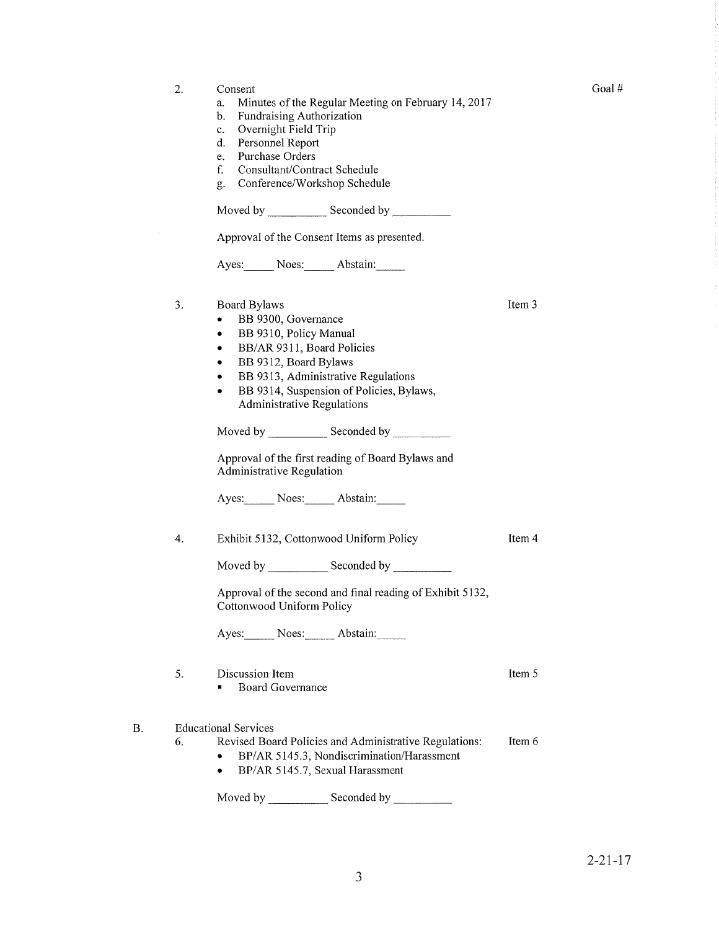| 2. | Consent<br>Minutes of the Regular Meeting on February 14, 2017<br>a.<br>Fundraising Authorization<br>b.<br>Overnight Field Trip<br>c.<br>Personnel Report<br>d.<br>Purchase Orders<br>e.<br>Consultant/Contract Schedule<br>f.<br>Conference/Workshop Schedule<br>g.<br>Approval of the Consent Items as presented.<br>Ayes: Noes: Abstain:                                |        |
|----|----------------------------------------------------------------------------------------------------------------------------------------------------------------------------------------------------------------------------------------------------------------------------------------------------------------------------------------------------------------------------|--------|
| 3. | Board Bylaws<br>BB 9300, Governance<br>٠<br>BB 9310, Policy Manual<br>٠<br>BB/AR 9311, Board Policies<br>٠<br>BB 9312, Board Bylaws<br>٠<br>BB 9313, Administrative Regulations<br>BB 9314, Suspension of Policies, Bylaws,<br>Administrative Regulations<br>Approval of the first reading of Board Bylaws and<br><b>Administrative Regulation</b><br>Ayes: Noes: Abstain: | Item 3 |
| 4. | Exhibit 5132, Cottonwood Uniform Policy<br>Moved by _______________ Seconded by ____________<br>Approval of the second and final reading of Exhibit 5132,<br>Cottonwood Uniform Policy<br>Ayes: Noes: Abstain:                                                                                                                                                             | Item 4 |
| 5. | Discussion Item<br><b>Board Governance</b>                                                                                                                                                                                                                                                                                                                                 | Item 5 |
| 6. | <b>Educational Services</b><br>Revised Board Policies and Administrative Regulations:<br>BP/AR 5145.3, Nondiscrimination/Harassment<br>BP/AR 5145.7, Sexual Harassment                                                                                                                                                                                                     | Item 6 |

Goal  $\#$ 

Moved by \_\_\_\_\_\_\_\_\_\_\_\_\_ Seconded by

B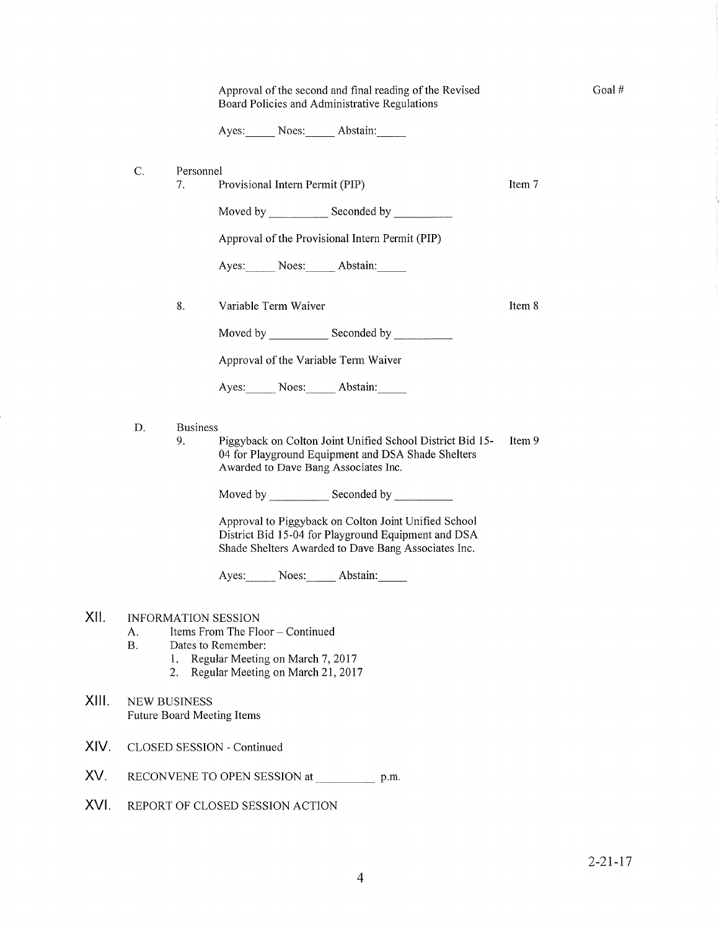|       |                                                                                                                                                                                              | Approval of the second and final reading of the Revised<br>Board Policies and Administrative Regulations |                                                                                                                                                                    |                      |  |  |  |        |  |
|-------|----------------------------------------------------------------------------------------------------------------------------------------------------------------------------------------------|----------------------------------------------------------------------------------------------------------|--------------------------------------------------------------------------------------------------------------------------------------------------------------------|----------------------|--|--|--|--------|--|
|       |                                                                                                                                                                                              |                                                                                                          |                                                                                                                                                                    | Ayes: Noes: Abstain: |  |  |  |        |  |
|       | C.<br>Personnel<br>Item 7<br>7.<br>Provisional Intern Permit (PIP)                                                                                                                           |                                                                                                          |                                                                                                                                                                    |                      |  |  |  |        |  |
|       |                                                                                                                                                                                              |                                                                                                          |                                                                                                                                                                    |                      |  |  |  |        |  |
|       |                                                                                                                                                                                              |                                                                                                          |                                                                                                                                                                    |                      |  |  |  |        |  |
|       |                                                                                                                                                                                              |                                                                                                          | Approval of the Provisional Intern Permit (PIP)                                                                                                                    |                      |  |  |  |        |  |
|       | Ayes: Noes: Abstain:                                                                                                                                                                         |                                                                                                          |                                                                                                                                                                    |                      |  |  |  |        |  |
|       |                                                                                                                                                                                              | 8.                                                                                                       | Variable Term Waiver                                                                                                                                               |                      |  |  |  | Item 8 |  |
|       |                                                                                                                                                                                              |                                                                                                          |                                                                                                                                                                    |                      |  |  |  |        |  |
|       | Approval of the Variable Term Waiver                                                                                                                                                         |                                                                                                          |                                                                                                                                                                    |                      |  |  |  |        |  |
|       |                                                                                                                                                                                              |                                                                                                          |                                                                                                                                                                    | Ayes: Noes: Abstain: |  |  |  |        |  |
|       | D.<br><b>Business</b><br>9.<br>Piggyback on Colton Joint Unified School District Bid 15-<br>04 for Playground Equipment and DSA Shade Shelters<br>Awarded to Dave Bang Associates Inc.       |                                                                                                          |                                                                                                                                                                    |                      |  |  |  | Item 9 |  |
|       |                                                                                                                                                                                              |                                                                                                          |                                                                                                                                                                    |                      |  |  |  |        |  |
|       |                                                                                                                                                                                              |                                                                                                          | Approval to Piggyback on Colton Joint Unified School<br>District Bid 15-04 for Playground Equipment and DSA<br>Shade Shelters Awarded to Dave Bang Associates Inc. |                      |  |  |  |        |  |
|       |                                                                                                                                                                                              |                                                                                                          |                                                                                                                                                                    | Ayes: Noes: Abstain: |  |  |  |        |  |
| XII.  | <b>INFORMATION SESSION</b><br>Items From The Floor - Continued<br>А.<br><b>B.</b><br>Dates to Remember:<br>Regular Meeting on March 7, 2017<br>1.<br>Regular Meeting on March 21, 2017<br>2. |                                                                                                          |                                                                                                                                                                    |                      |  |  |  |        |  |
| XIII. | <b>NEW BUSINESS</b><br><b>Future Board Meeting Items</b>                                                                                                                                     |                                                                                                          |                                                                                                                                                                    |                      |  |  |  |        |  |
| XIV.  | CLOSED SESSION - Continued                                                                                                                                                                   |                                                                                                          |                                                                                                                                                                    |                      |  |  |  |        |  |
| XV.   | RECONVENE TO OPEN SESSION at<br>p.m.                                                                                                                                                         |                                                                                                          |                                                                                                                                                                    |                      |  |  |  |        |  |
| XVI.  | REPORT OF CLOSED SESSION ACTION                                                                                                                                                              |                                                                                                          |                                                                                                                                                                    |                      |  |  |  |        |  |
|       |                                                                                                                                                                                              |                                                                                                          |                                                                                                                                                                    |                      |  |  |  |        |  |

Goal#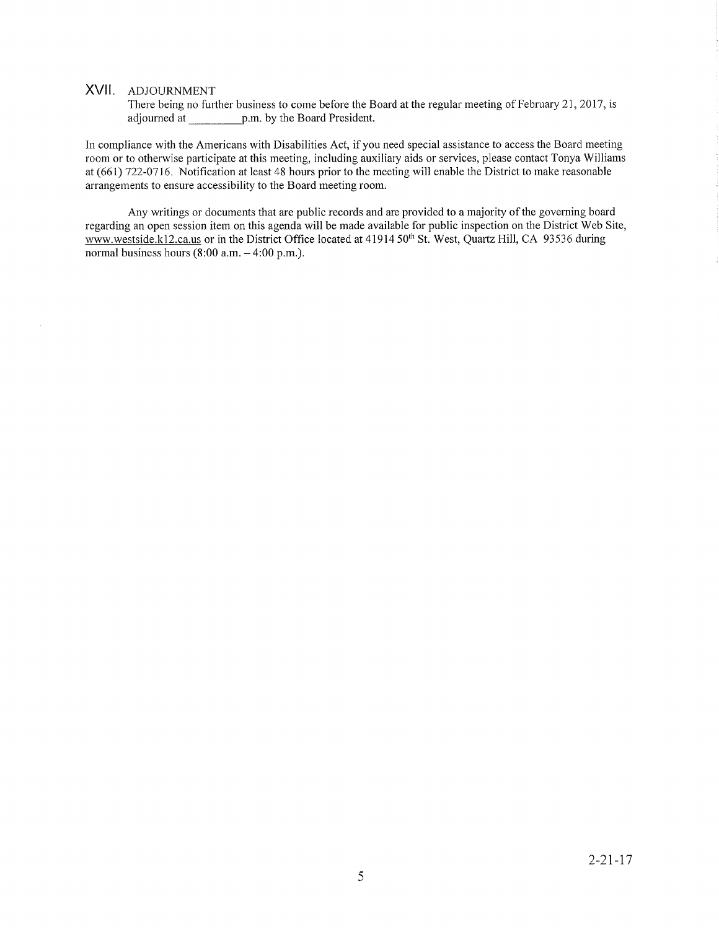# XVll. ADJoURNMENT

There being no further business to come before the Board at the regular meeting of February 21, 2017, is adjourned at p.m. by the Board President.

In compliance with the Americans with Disabilities Act, if you need special assistance to access the Board meeting room or to otherwise parlicipate at this meeting, including auxiliary aids or services, please contact Tonya Williams at (661) 122-0116. Notification at least 48 hours prior to the meeting will enable the District to make reasonable arrangements to ensure accessibility to the Board meeting room.

Any writings or documents that are public records and are provided to a majority of the governing board regarding an open session item on this agenda will be made available for public inspection on the District Web Site, www.westside.k12.ca.us or in the District Office located at 41914 50<sup>th</sup> St. West, Quartz Hill, CA 93536 during normal business hours  $(8:00$  a.m.  $-4:00$  p.m.).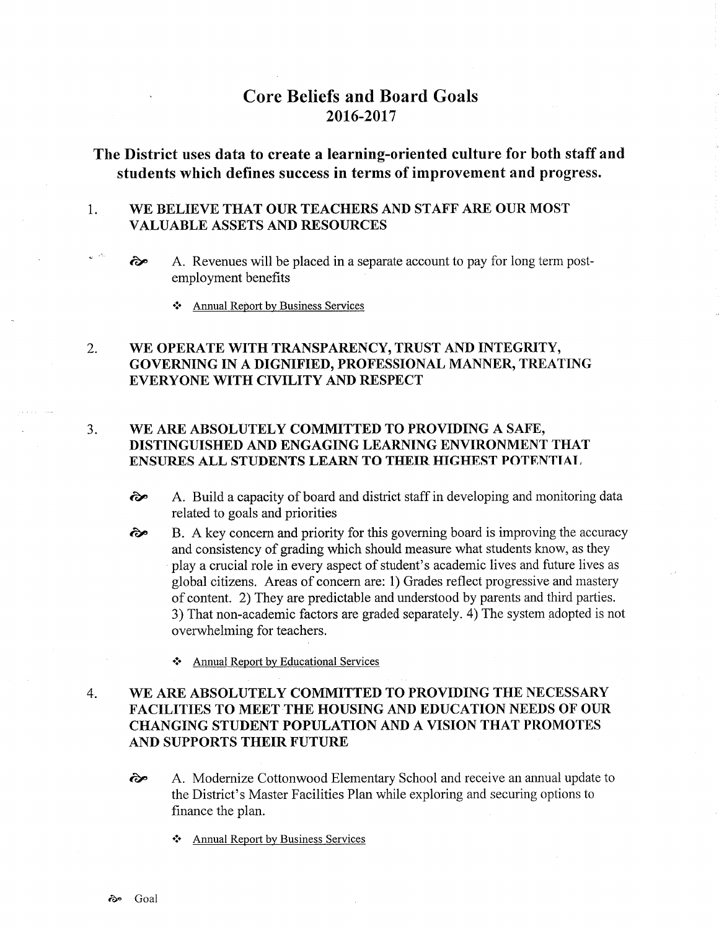# Core Beliefs and Board Goals 2016-2017

# The District uses data to create a learning-oriented culture for both staff and students which defines success in terms of improvement and progress.

### 1 WE BELIEVE THAT OUR TEACHERS AND STAFF ARE OUR MOST VALUABLE ASSETS AND RESOURCES

- $\omega^{(-15)}$  $\leftrightarrow$  A. Revenues will be placed in a separate account to pay for long term postemployment benefits
	- ❖ Annual Report by Business Services

## WE OPERATE WITH TRANSPARENCY, TRUST AND INTEGRITY, GOVERNING IN A DIGNIFIED, PROFESSIONAL MANNER, TREATING EVERYONE WITH CIVILITY AND RESPECT 2.

## WE ARE ABSOLUTELY COMMITTED TO PROVIDING A SAFE, DISTINGUISHED AND ENGAGING LEARNING ENVIRONMENT THAT ENSURES ALL STUDENTS LEARN TO THEIR HIGHEST POTENTIAL 3.

- èp A. Build a capacity of board and district staff in developing and monitoring data related to goals and priorities
- B. A key concern and priority for this governing board is improving the accuracy and consistency of grading which should measure what students know, as they play a crucial role in every aspect of student's academic lives and future lives as global citizens. Areas of concern are: 1) Grades reflect progressive and mastery of content. 2) They are predictable and understood by parents and third parties. 3) That non-academic factors are graded separately. 4) The system adopted is not overwhelming for teachers. èp
	- \* Annual Report by Educational Services

## WE ARE ABSOLUTELY COMMITTED TO PROVIDING THE NECESSARY FACILITIES TO MEET THE HOUSING AND EDUCATION NEEDS OF OUR CHANGING STUDENT POPULATION AND A VISION THAT PROMOTES AND SUPPORTS THEIR FUTURE 4

- <sup>2</sup> A. Modernize Cottonwood Elementary School and receive an annual update to the District's Master Facilities Plan while exploring and securing options to finance the plan.
	- f. Annual Report by Business Services